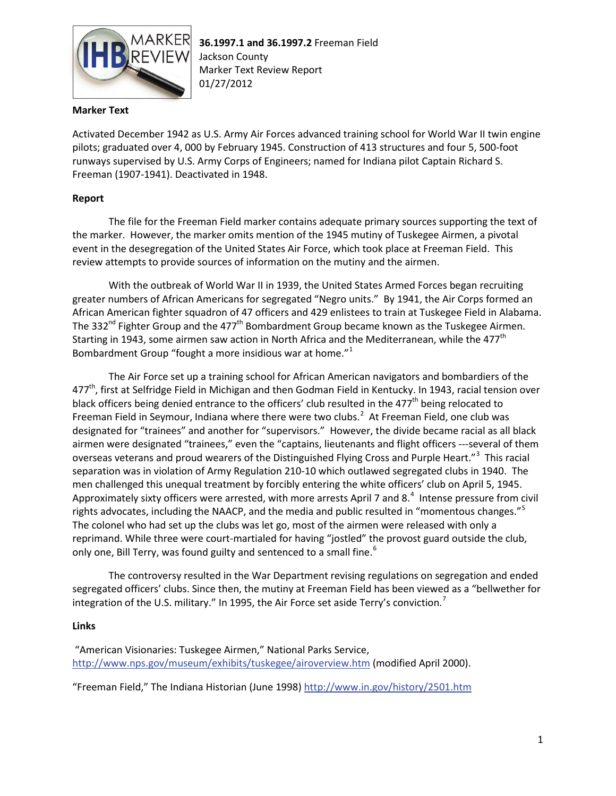

## **Marker Text**

Activated December 1942 as U.S. Army Air Forces advanced training school for World War II twin engine pilots; graduated over 4, 000 by February 1945. Construction of 413 structures and four 5, 500-foot runways supervised by U.S. Army Corps of Engineers; named for Indiana pilot Captain Richard S. Freeman (1907-1941). Deactivated in 1948.

## **Report**

The file for the Freeman Field marker contains adequate primary sources supporting the text of the marker. However, the marker omits mention of the 1945 mutiny of Tuskegee Airmen, a pivotal event in the desegregation of the United States Air Force, which took place at Freeman Field. This review attempts to provide sources of information on the mutiny and the airmen.

With the outbreak of World War II in 1939, the United States Armed Forces began recruiting greater numbers of African Americans for segregated "Negro units." By 1941, the Air Corps formed an African American fighter squadron of 47 officers and 429 enlistees to train at Tuskegee Field in Alabama. The 332<sup>nd</sup> Fighter Group and the 477<sup>th</sup> Bombardment Group became known as the Tuskegee Airmen. Starting in 1943, some airmen saw action in North Africa and the Mediterranean, while the 477<sup>th</sup> Bombardment Group "fought a more insidious war at home." $1$ 

The Air Force set up a training school for African American navigators and bombardiers of the 477<sup>th</sup>, first at Selfridge Field in Michigan and then Godman Field in Kentucky. In 1943, racial tension over black officers being denied entrance to the officers' club resulted in the 477<sup>th</sup> being relocated to Freeman Field in Seymour, Indiana where there were two clubs.<sup>[2](#page-2-1)</sup> At Freeman Field, one club was designated for "trainees" and another for "supervisors." However, the divide became racial as all black airmen were designated "trainees," even the "captains, lieutenants and flight officers ---several of them overseas veterans and proud wearers of the Distinguished Flying Cross and Purple Heart."<sup>[3](#page-2-2)</sup> This racial separation was in violation of Army Regulation 210-10 which outlawed segregated clubs in 1940. The men challenged this unequal treatment by forcibly entering the white officers' club on April 5, 1945. Approximately sixty officers were arrested, with more arrests April 7 and 8. $<sup>4</sup>$  $<sup>4</sup>$  $<sup>4</sup>$  Intense pressure from civil</sup> rights advocates, including the NAACP, and the media and public resulted in "momentous changes."<sup>[5](#page-2-4)</sup> The colonel who had set up the clubs was let go, most of the airmen were released with only a reprimand. While three were court-martialed for having "jostled" the provost guard outside the club, only one, Bill Terry, was found guilty and sentenced to a small fine.<sup>[6](#page-2-5)</sup>

The controversy resulted in the War Department revising regulations on segregation and ended segregated officers' clubs. Since then, the mutiny at Freeman Field has been viewed as a "bellwether for integration of the U.S. military." In 1995, the Air Force set aside Terry's conviction.<sup>[7](#page-2-6)</sup>

## **Links**

"American Visionaries: Tuskegee Airmen," National Parks Service, <http://www.nps.gov/museum/exhibits/tuskegee/airoverview.htm> (modified April 2000).

"Freeman Field," The Indiana Historian (June 1998)<http://www.in.gov/history/2501.htm>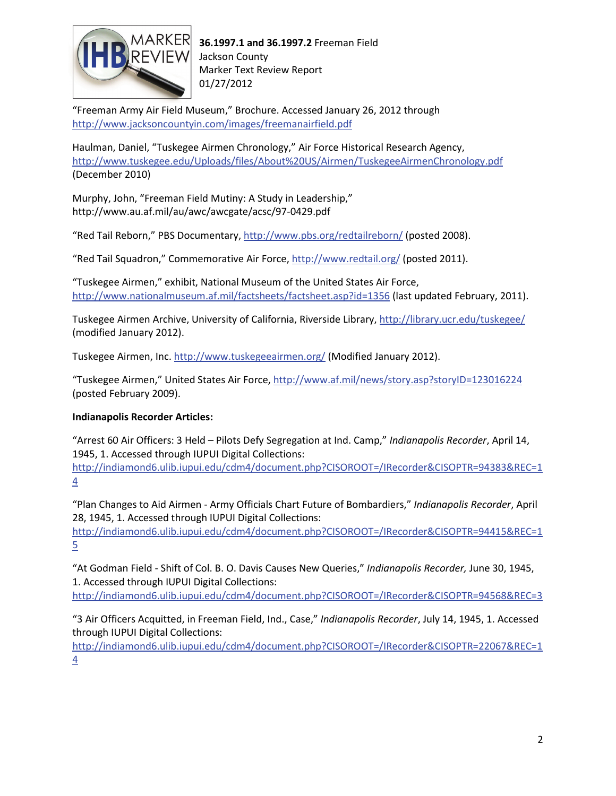

"Freeman Army Air Field Museum," Brochure. Accessed January 26, 2012 through <http://www.jacksoncountyin.com/images/freemanairfield.pdf>

Haulman, Daniel, "Tuskegee Airmen Chronology," Air Force Historical Research Agency, <http://www.tuskegee.edu/Uploads/files/About%20US/Airmen/TuskegeeAirmenChronology.pdf> (December 2010)

Murphy, John, "Freeman Field Mutiny: A Study in Leadership," http://www.au.af.mil/au/awc/awcgate/acsc/97-0429.pdf

"Red Tail Reborn," PBS Documentary,<http://www.pbs.org/redtailreborn/> (posted 2008).

"Red Tail Squadron," Commemorative Air Force,<http://www.redtail.org/> (posted 2011).

"Tuskegee Airmen," exhibit, National Museum of the United States Air Force, <http://www.nationalmuseum.af.mil/factsheets/factsheet.asp?id=1356> (last updated February, 2011).

Tuskegee Airmen Archive, University of California, Riverside Library,<http://library.ucr.edu/tuskegee/> (modified January 2012).

Tuskegee Airmen, Inc.<http://www.tuskegeeairmen.org/> (Modified January 2012).

"Tuskegee Airmen," United States Air Force[, http://www.af.mil/news/story.asp?storyID=123016224](http://www.af.mil/news/story.asp?storyID=123016224) (posted February 2009).

## **Indianapolis Recorder Articles:**

"Arrest 60 Air Officers: 3 Held – Pilots Defy Segregation at Ind. Camp," *Indianapolis Recorder*, April 14, 1945, 1. Accessed through IUPUI Digital Collections: [http://indiamond6.ulib.iupui.edu/cdm4/document.php?CISOROOT=/IRecorder&CISOPTR=94383&REC=1](http://indiamond6.ulib.iupui.edu/cdm4/document.php?CISOROOT=/IRecorder&CISOPTR=94383&REC=14) [4](http://indiamond6.ulib.iupui.edu/cdm4/document.php?CISOROOT=/IRecorder&CISOPTR=94383&REC=14)

"Plan Changes to Aid Airmen - Army Officials Chart Future of Bombardiers," *Indianapolis Recorder*, April 28, 1945, 1. Accessed through IUPUI Digital Collections:

[http://indiamond6.ulib.iupui.edu/cdm4/document.php?CISOROOT=/IRecorder&CISOPTR=94415&REC=1](http://indiamond6.ulib.iupui.edu/cdm4/document.php?CISOROOT=/IRecorder&CISOPTR=94415&REC=15) [5](http://indiamond6.ulib.iupui.edu/cdm4/document.php?CISOROOT=/IRecorder&CISOPTR=94415&REC=15)

"At Godman Field - Shift of Col. B. O. Davis Causes New Queries," *Indianapolis Recorder,* June 30, 1945, 1. Accessed through IUPUI Digital Collections:

<http://indiamond6.ulib.iupui.edu/cdm4/document.php?CISOROOT=/IRecorder&CISOPTR=94568&REC=3>

"3 Air Officers Acquitted, in Freeman Field, Ind., Case," *Indianapolis Recorder*, July 14, 1945, 1. Accessed through IUPUI Digital Collections:

[http://indiamond6.ulib.iupui.edu/cdm4/document.php?CISOROOT=/IRecorder&CISOPTR=22067&REC=1](http://indiamond6.ulib.iupui.edu/cdm4/document.php?CISOROOT=/IRecorder&CISOPTR=22067&REC=14) [4](http://indiamond6.ulib.iupui.edu/cdm4/document.php?CISOROOT=/IRecorder&CISOPTR=22067&REC=14)